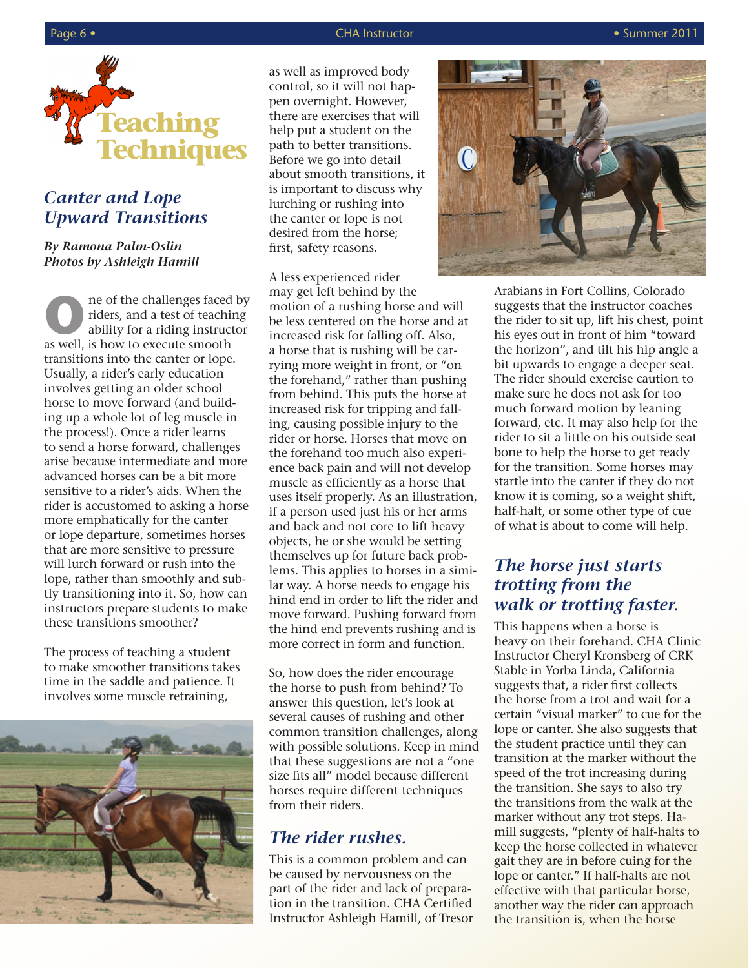

## *Canter and Lope Upward Transitions*

#### *By Ramona Palm-Oslin Photos by Ashleigh Hamill*

**O**<br> **O** niders, and a test of teaching<br>
ability for a riding instructor<br>
as well, is how to execute smooth riders, and a test of teaching ability for a riding instructor as well, is how to execute smooth transitions into the canter or lope. Usually, a rider's early education involves getting an older school horse to move forward (and building up a whole lot of leg muscle in the process!). Once a rider learns to send a horse forward, challenges arise because intermediate and more advanced horses can be a bit more sensitive to a rider's aids. When the rider is accustomed to asking a horse more emphatically for the canter or lope departure, sometimes horses that are more sensitive to pressure will lurch forward or rush into the lope, rather than smoothly and subtly transitioning into it. So, how can instructors prepare students to make these transitions smoother?

The process of teaching a student to make smoother transitions takes time in the saddle and patience. It involves some muscle retraining,



as well as improved body control, so it will not happen overnight. However, there are exercises that will help put a student on the path to better transitions. Before we go into detail about smooth transitions, it is important to discuss why lurching or rushing into the canter or lope is not desired from the horse; first, safety reasons.

A less experienced rider may get left behind by the motion of a rushing horse and will be less centered on the horse and at increased risk for falling off. Also, a horse that is rushing will be carrying more weight in front, or "on the forehand," rather than pushing from behind. This puts the horse at increased risk for tripping and falling, causing possible injury to the rider or horse. Horses that move on the forehand too much also experience back pain and will not develop muscle as efficiently as a horse that uses itself properly. As an illustration, if a person used just his or her arms and back and not core to lift heavy objects, he or she would be setting themselves up for future back problems. This applies to horses in a similar way. A horse needs to engage his hind end in order to lift the rider and move forward. Pushing forward from the hind end prevents rushing and is more correct in form and function.

So, how does the rider encourage the horse to push from behind? To answer this question, let's look at several causes of rushing and other common transition challenges, along with possible solutions. Keep in mind that these suggestions are not a "one size fits all" model because different horses require different techniques from their riders.

#### *The rider rushes.*

This is a common problem and can be caused by nervousness on the part of the rider and lack of preparation in the transition. CHA Certified Instructor Ashleigh Hamill, of Tresor



Arabians in Fort Collins, Colorado suggests that the instructor coaches the rider to sit up, lift his chest, point his eyes out in front of him "toward the horizon", and tilt his hip angle a bit upwards to engage a deeper seat. The rider should exercise caution to make sure he does not ask for too much forward motion by leaning forward, etc. It may also help for the rider to sit a little on his outside seat bone to help the horse to get ready for the transition. Some horses may startle into the canter if they do not know it is coming, so a weight shift, half-halt, or some other type of cue of what is about to come will help.

### *The horse just starts trotting from the walk or trotting faster.*

This happens when a horse is heavy on their forehand. CHA Clinic Instructor Cheryl Kronsberg of CRK Stable in Yorba Linda, California suggests that, a rider first collects the horse from a trot and wait for a certain "visual marker" to cue for the lope or canter. She also suggests that the student practice until they can transition at the marker without the speed of the trot increasing during the transition. She says to also try the transitions from the walk at the marker without any trot steps. Hamill suggests, "plenty of half-halts to keep the horse collected in whatever gait they are in before cuing for the lope or canter." If half-halts are not effective with that particular horse, another way the rider can approach the transition is, when the horse